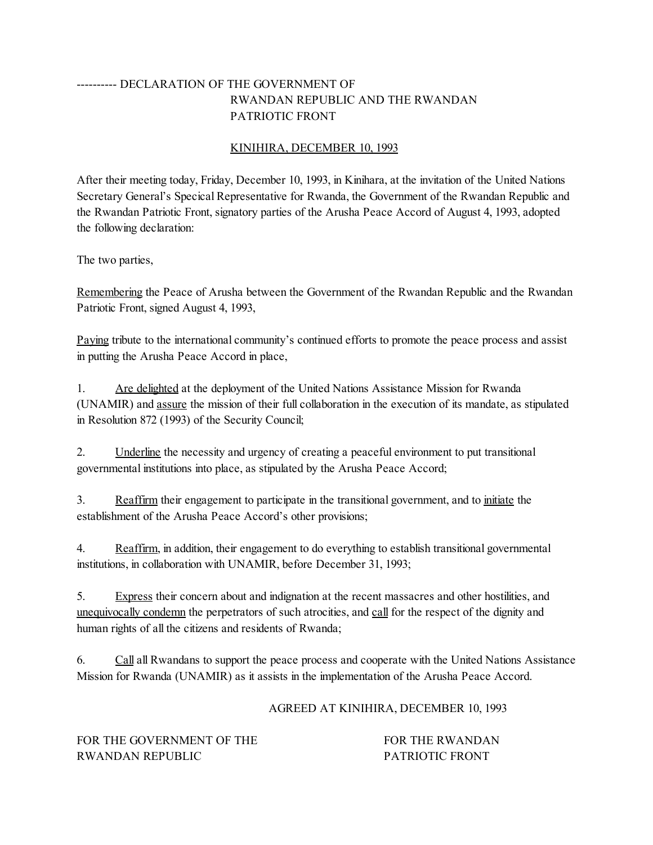## ---------- DECLARATION OF THE GOVERNMENT OF RWANDAN REPUBLIC AND THE RWANDAN PATRIOTIC FRONT

## KINIHIRA, DECEMBER 10, 1993

After their meeting today, Friday, December 10, 1993, in Kinihara, at the invitation of the United Nations Secretary General's Specical Representative for Rwanda, the Government of the Rwandan Republic and the Rwandan Patriotic Front, signatory parties of the Arusha Peace Accord of August 4, 1993, adopted the following declaration:

The two parties,

Remembering the Peace of Arusha between the Government of the Rwandan Republic and the Rwandan Patriotic Front, signed August 4, 1993,

Paying tribute to the international community's continued efforts to promote the peace process and assist in putting the Arusha Peace Accord in place,

1. Are delighted at the deployment of the United Nations Assistance Mission for Rwanda (UNAMIR) and assure the mission of their full collaboration in the execution of its mandate, as stipulated in Resolution 872 (1993) of the Security Council;

2. Underline the necessity and urgency of creating a peaceful environment to put transitional governmental institutions into place, as stipulated by the Arusha Peace Accord;

3. Reaffirm their engagement to participate in the transitional government, and to initiate the establishment of the Arusha Peace Accord's other provisions;

4. Reaffirm, in addition, their engagement to do everything to establish transitional governmental institutions, in collaboration with UNAMIR, before December 31, 1993;

5. Express their concern about and indignation at the recent massacres and other hostilities, and unequivocally condemn the perpetrators of such atrocities, and call for the respect of the dignity and human rights of all the citizens and residents of Rwanda;

6. Call all Rwandans to support the peace process and cooperate with the United Nations Assistance Mission for Rwanda (UNAMIR) as it assists in the implementation of the Arusha Peace Accord.

## AGREED AT KINIHIRA, DECEMBER 10, 1993

FOR THE GOVERNMENT OF THE FOR THE RWANDAN RWANDAN REPUBLIC PATRIOTIC FRONT